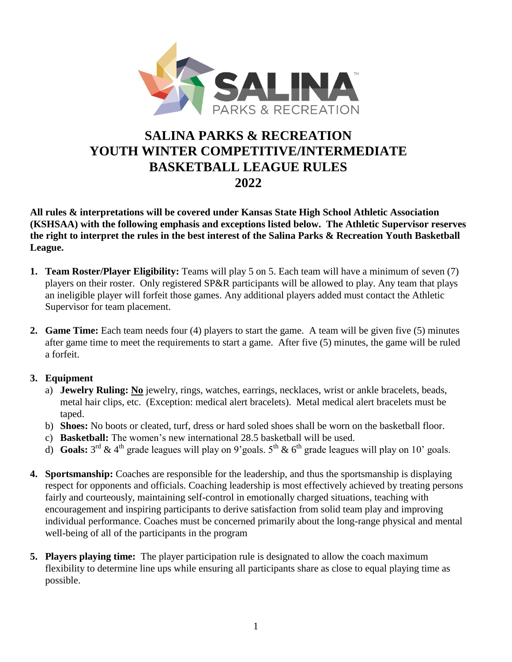

# **SALINA PARKS & RECREATION YOUTH WINTER COMPETITIVE/INTERMEDIATE BASKETBALL LEAGUE RULES 2022**

**All rules & interpretations will be covered under Kansas State High School Athletic Association (KSHSAA) with the following emphasis and exceptions listed below. The Athletic Supervisor reserves the right to interpret the rules in the best interest of the Salina Parks & Recreation Youth Basketball League.**

- **1. Team Roster/Player Eligibility:** Teams will play 5 on 5. Each team will have a minimum of seven (7) players on their roster. Only registered SP&R participants will be allowed to play. Any team that plays an ineligible player will forfeit those games. Any additional players added must contact the Athletic Supervisor for team placement.
- **2. Game Time:** Each team needs four (4) players to start the game. A team will be given five (5) minutes after game time to meet the requirements to start a game. After five (5) minutes, the game will be ruled a forfeit.

### **3. Equipment**

- a) **Jewelry Ruling: No** jewelry, rings, watches, earrings, necklaces, wrist or ankle bracelets, beads, metal hair clips, etc. (Exception: medical alert bracelets). Metal medical alert bracelets must be taped.
- b) **Shoes:** No boots or cleated, turf, dress or hard soled shoes shall be worn on the basketball floor.
- c) **Basketball:** The women's new international 28.5 basketball will be used.
- d) **Goals:**  $3^{rd}$  & 4<sup>th</sup> grade leagues will play on 9'goals.  $5^{th}$  & 6<sup>th</sup> grade leagues will play on 10' goals.
- **4. Sportsmanship:** Coaches are responsible for the leadership, and thus the sportsmanship is displaying respect for opponents and officials. Coaching leadership is most effectively achieved by treating persons fairly and courteously, maintaining self-control in emotionally charged situations, teaching with encouragement and inspiring participants to derive satisfaction from solid team play and improving individual performance. Coaches must be concerned primarily about the long-range physical and mental well-being of all of the participants in the program
- **5. Players playing time:** The player participation rule is designated to allow the coach maximum flexibility to determine line ups while ensuring all participants share as close to equal playing time as possible.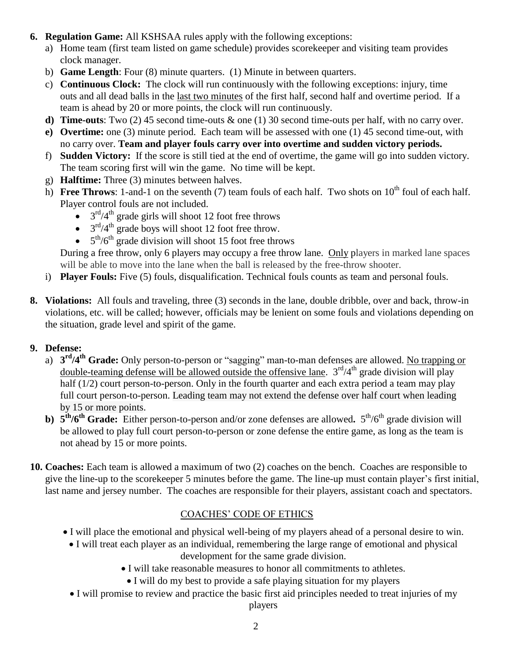- **6. Regulation Game:** All KSHSAA rules apply with the following exceptions:
	- a) Home team (first team listed on game schedule) provides scorekeeper and visiting team provides clock manager.
	- b) **Game Length**: Four (8) minute quarters. (1) Minute in between quarters.
	- c) **Continuous Clock:** The clock will run continuously with the following exceptions: injury, time outs and all dead balls in the last two minutes of the first half, second half and overtime period. If a team is ahead by 20 or more points, the clock will run continuously.
	- **d) Time-outs**: Two (2) 45 second time-outs & one (1) 30 second time-outs per half, with no carry over.
	- **e) Overtime:** one (3) minute period. Each team will be assessed with one (1) 45 second time-out, with no carry over. **Team and player fouls carry over into overtime and sudden victory periods.**
	- f) **Sudden Victory:** If the score is still tied at the end of overtime, the game will go into sudden victory. The team scoring first will win the game. No time will be kept.
	- g) **Halftime:** Three (3) minutes between halves.
	- h) **Free Throws**: 1-and-1 on the seventh (7) team fouls of each half. Two shots on  $10^{th}$  foul of each half. Player control fouls are not included.
		- $\bullet$  3<sup>rd</sup>/4<sup>th</sup> grade girls will shoot 12 foot free throws
		- $\bullet$  3<sup>rd</sup>/4<sup>th</sup> grade boys will shoot 12 foot free throw.
		- $\bullet$  5<sup>th</sup>/6<sup>th</sup> grade division will shoot 15 foot free throws

During a free throw, only 6 players may occupy a free throw lane. Only players in marked lane spaces will be able to move into the lane when the ball is released by the free-throw shooter.

- i) **Player Fouls:** Five (5) fouls, disqualification. Technical fouls counts as team and personal fouls.
- **8. Violations:** All fouls and traveling, three (3) seconds in the lane, double dribble, over and back, throw-in violations, etc. will be called; however, officials may be lenient on some fouls and violations depending on the situation, grade level and spirit of the game.

### **9. Defense:**

- a) **3 rd/4 th Grade:** Only person-to-person or "sagging" man-to-man defenses are allowed. No trapping or double-teaming defense will be allowed outside the offensive lane.  $3<sup>rd</sup>/4<sup>th</sup>$  grade division will play half (1/2) court person-to-person. Only in the fourth quarter and each extra period a team may play full court person-to-person. Leading team may not extend the defense over half court when leading by 15 or more points.
- **b)**  $5^{\text{th}}/6^{\text{th}}$  **Grade:** Either person-to-person and/or zone defenses are allowed.  $5^{\text{th}}/6^{\text{th}}$  grade division will be allowed to play full court person-to-person or zone defense the entire game, as long as the team is not ahead by 15 or more points.
- **10. Coaches:** Each team is allowed a maximum of two (2) coaches on the bench. Coaches are responsible to give the line-up to the scorekeeper 5 minutes before the game. The line-up must contain player's first initial, last name and jersey number. The coaches are responsible for their players, assistant coach and spectators.

## COACHES' CODE OF ETHICS

- I will place the emotional and physical well-being of my players ahead of a personal desire to win.
	- I will treat each player as an individual, remembering the large range of emotional and physical development for the same grade division.
		- I will take reasonable measures to honor all commitments to athletes.
			- I will do my best to provide a safe playing situation for my players
	- I will promise to review and practice the basic first aid principles needed to treat injuries of my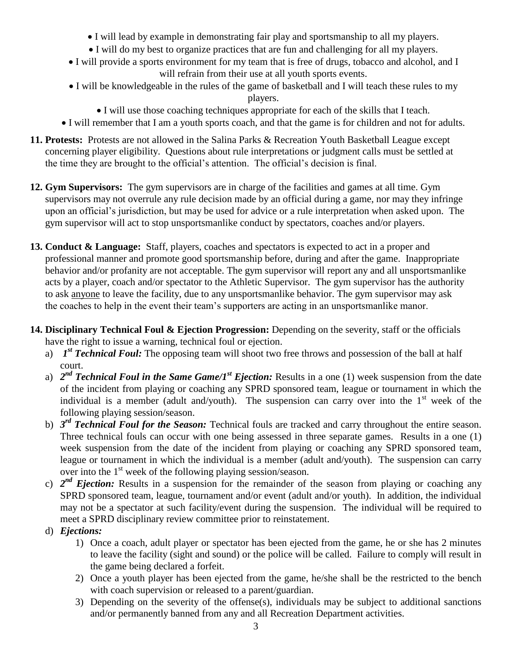- I will lead by example in demonstrating fair play and sportsmanship to all my players.
- I will do my best to organize practices that are fun and challenging for all my players.
- I will provide a sports environment for my team that is free of drugs, tobacco and alcohol, and I will refrain from their use at all youth sports events.
- I will be knowledgeable in the rules of the game of basketball and I will teach these rules to my players.
	- I will use those coaching techniques appropriate for each of the skills that I teach.
- I will remember that I am a youth sports coach, and that the game is for children and not for adults.
- **11. Protests:** Protests are not allowed in the Salina Parks & Recreation Youth Basketball League except concerning player eligibility.Questions about rule interpretations or judgment calls must be settled at the time they are brought to the official's attention. The official's decision is final.
- **12. Gym Supervisors:** The gym supervisors are in charge of the facilities and games at all time. Gym supervisors may not overrule any rule decision made by an official during a game, nor may they infringe upon an official's jurisdiction, but may be used for advice or a rule interpretation when asked upon.The gym supervisor will act to stop unsportsmanlike conduct by spectators, coaches and/or players.
- **13. Conduct & Language:** Staff, players, coaches and spectators is expected to act in a proper and professional manner and promote good sportsmanship before, during and after the game. Inappropriate behavior and/or profanity are not acceptable. The gym supervisor will report any and all unsportsmanlike acts by a player, coach and/or spectator to the Athletic Supervisor.The gym supervisor has the authority to ask anyone to leave the facility, due to any unsportsmanlike behavior. The gym supervisor may ask the coaches to help in the event their team's supporters are acting in an unsportsmanlike manor.
- **14. Disciplinary Technical Foul & Ejection Progression:** Depending on the severity, staff or the officials have the right to issue a warning, technical foul or ejection.
	- a) *1<sup>st</sup> Technical Foul:* The opposing team will shoot two free throws and possession of the ball at half court.
	- a) 2<sup>nd</sup> Technical Foul in the Same Game/1<sup>st</sup> Ejection: Results in a one (1) week suspension from the date of the incident from playing or coaching any SPRD sponsored team, league or tournament in which the individual is a member (adult and/youth). The suspension can carry over into the  $1<sup>st</sup>$  week of the following playing session/season.
	- b) *3 rd Technical Foul for the Season:* Technical fouls are tracked and carry throughout the entire season. Three technical fouls can occur with one being assessed in three separate games. Results in a one (1) week suspension from the date of the incident from playing or coaching any SPRD sponsored team, league or tournament in which the individual is a member (adult and/youth). The suspension can carry over into the 1<sup>st</sup> week of the following playing session/season.
	- c)  $2^{nd}$  *Ejection:* Results in a suspension for the remainder of the season from playing or coaching any SPRD sponsored team, league, tournament and/or event (adult and/or youth). In addition, the individual may not be a spectator at such facility/event during the suspension. The individual will be required to meet a SPRD disciplinary review committee prior to reinstatement.
	- d) *Ejections:*
		- 1) Once a coach, adult player or spectator has been ejected from the game, he or she has 2 minutes to leave the facility (sight and sound) or the police will be called. Failure to comply will result in the game being declared a forfeit.
		- 2) Once a youth player has been ejected from the game, he/she shall be the restricted to the bench with coach supervision or released to a parent/guardian.
		- 3) Depending on the severity of the offense(s), individuals may be subject to additional sanctions and/or permanently banned from any and all Recreation Department activities.